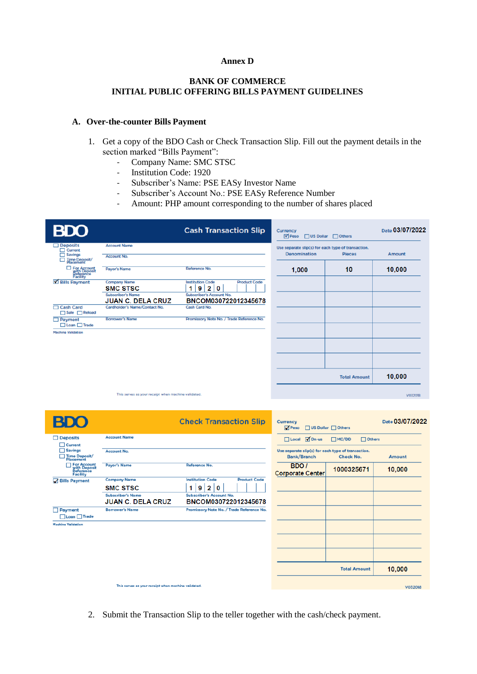#### **Annex D**

### **BANK OF COMMERCE INITIAL PUBLIC OFFERING BILLS PAYMENT GUIDELINES**

# **A. Over-the-counter Bills Payment**

- 1. Get a copy of the BDO Cash or Check Transaction Slip. Fill out the payment details in the section marked "Bills Payment":
	- Company Name: SMC STSC
	- Institution Code: 1920
	- Subscriber's Name: PSE EASy Investor Name
	- Subscriber's Account No.: PSE EASy Reference Number
	- Amount: PHP amount corresponding to the number of shares placed

| <b>BDO</b>                                           |                                                     | <b>Cash Transaction Slip</b>                   | <b>Currency</b><br>$\nabla$ Peso                   | □ US Dollar □ Others | Date 03/07/2022 |
|------------------------------------------------------|-----------------------------------------------------|------------------------------------------------|----------------------------------------------------|----------------------|-----------------|
| $\Box$ Deposits<br><b>Current</b>                    | <b>Account Name</b>                                 |                                                | Use separate slip(s) for each type of transaction. |                      |                 |
| $\Box$ Savings<br>□ Time Deposit/                    | Account No.                                         |                                                | <b>Denomination</b>                                | <b>Pieces</b>        | Amount          |
| For Account<br>with Deposit<br>Reference<br>Facility | Payor's Name                                        | Reference No.                                  | 1,000                                              | 10                   | 10,000          |
| <b>Ø</b> Bills Payment                               | <b>Company Name</b>                                 | <b>Institution Code</b><br><b>Product Code</b> |                                                    |                      |                 |
|                                                      | <b>SMC STSC</b><br><b>Subscriber's Name</b>         | 2<br>9<br>0<br>1<br>Subscriber's Account No.   |                                                    |                      |                 |
|                                                      | <b>JUAN C. DELA CRUZ</b>                            | BNCOM030722012345678                           |                                                    |                      |                 |
| □ Cash Card<br>□ Sale □ Reload                       | Cardholder's Name/Contact No.                       | Cash Card No.                                  |                                                    |                      |                 |
| <b>Payment</b><br>□ Loan □ Trade                     | <b>Borrower's Name</b>                              | Promissory Note No. / Trade Reference No.      |                                                    |                      |                 |
| <b>Machine Validation</b>                            |                                                     |                                                |                                                    |                      |                 |
|                                                      |                                                     |                                                |                                                    |                      |                 |
|                                                      |                                                     |                                                |                                                    |                      |                 |
|                                                      |                                                     |                                                |                                                    |                      |                 |
|                                                      |                                                     |                                                |                                                    |                      |                 |
|                                                      |                                                     |                                                |                                                    | <b>Total Amount</b>  | 10,000          |
|                                                      | This serves as your receipt when machine validated. |                                                |                                                    | V032018              |                 |
|                                                      |                                                     |                                                |                                                    |                      |                 |
|                                                      |                                                     | <b>Check Transaction Slip</b>                  | Currency<br><b>V</b> Peso                          | □ US Dollar □ Others | Date 03/07/2022 |

| DUL                                                         |                                                     | <b>CHECK Hansaction SHD</b>                    | Currency<br><b>V</b> Peso                          | □ US Dollar □ Others   | Date 03/07/2022 |
|-------------------------------------------------------------|-----------------------------------------------------|------------------------------------------------|----------------------------------------------------|------------------------|-----------------|
| Deposits                                                    | <b>Account Name</b>                                 |                                                | □ Local <b>V</b> On-us                             | MCMDD<br>$\Box$ Others |                 |
| $\Box$ Current<br>$\Box$ Savings                            | <b>Account No.</b>                                  |                                                | Use separate slip(s) for each type of transaction. |                        |                 |
| Time Deposit/<br>Placement                                  |                                                     |                                                | Bank/Branch                                        | <b>Check No.</b>       | <b>Amount</b>   |
| For Account<br>with Deposit<br>Reference<br><b>Facility</b> | Payor's Name                                        | Reference No.                                  | BDO/<br><b>Corporate Center</b>                    | 1000325671             | 10,000          |
| Bills Payment                                               | <b>Company Name</b>                                 | <b>Institution Code</b><br><b>Product Code</b> |                                                    |                        |                 |
|                                                             | <b>SMC STSC</b>                                     | 9<br>2<br>O<br>1                               |                                                    |                        |                 |
|                                                             | <b>Subscriber's Name</b>                            | Subscriber's Account No.                       |                                                    |                        |                 |
|                                                             | <b>JUAN C. DELA CRUZ</b>                            | BNCOM030722012345678                           |                                                    |                        |                 |
| Payment                                                     | <b>Borrower's Name</b>                              | Promissory Note No. / Trade Reference No.      |                                                    |                        |                 |
| □Loan □ Trade                                               |                                                     |                                                |                                                    |                        |                 |
| <b>Machine Validation</b>                                   |                                                     |                                                |                                                    |                        |                 |
|                                                             |                                                     |                                                |                                                    |                        |                 |
|                                                             |                                                     |                                                |                                                    |                        |                 |
|                                                             |                                                     |                                                |                                                    |                        |                 |
|                                                             |                                                     |                                                |                                                    |                        |                 |
|                                                             |                                                     |                                                |                                                    |                        |                 |
|                                                             |                                                     |                                                |                                                    | <b>Total Amount</b>    | 10,000          |
|                                                             | This serves as your receipt when machine validated. |                                                |                                                    |                        | V032018         |
|                                                             |                                                     |                                                |                                                    |                        |                 |

2. Submit the Transaction Slip to the teller together with the cash/check payment.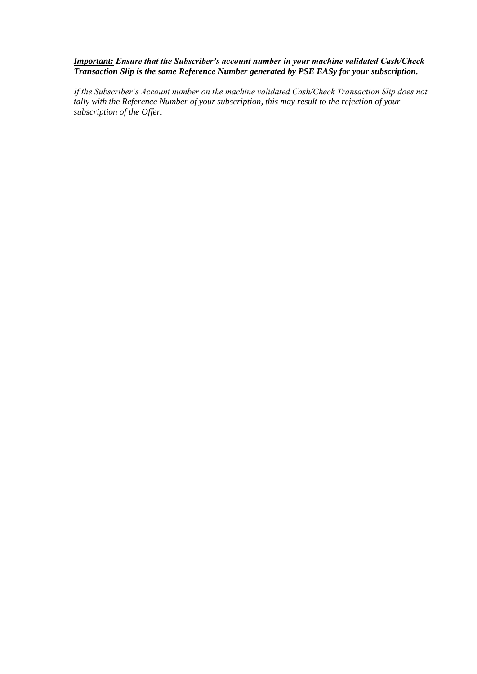# *Important: Ensure that the Subscriber's account number in your machine validated Cash/Check Transaction Slip is the same Reference Number generated by PSE EASy for your subscription.*

*If the Subscriber's Account number on the machine validated Cash/Check Transaction Slip does not tally with the Reference Number of your subscription, this may result to the rejection of your subscription of the Offer.*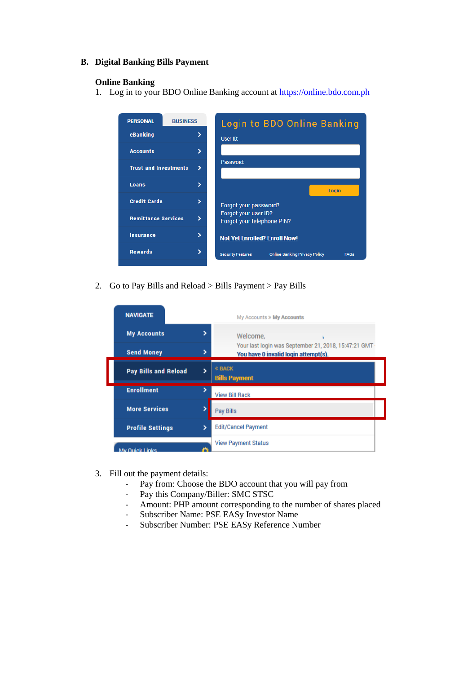### **B. Digital Banking Bills Payment**

### **Online Banking**

1. Log in to your BDO Online Banking account at [https://online.bdo.com.ph](https://online.bdo.com.ph/)



2. Go to Pay Bills and Reload > Bills Payment > Pay Bills

| <b>NAVIGATE</b>             |   | My Accounts » My Accounts                                                                      |  |
|-----------------------------|---|------------------------------------------------------------------------------------------------|--|
| <b>My Accounts</b>          | > | Welcome.                                                                                       |  |
| <b>Send Money</b>           | ⋟ | Your last login was September 21, 2018, 15:47:21 GMT ·<br>You have 0 invalid login attempt(s). |  |
| <b>Pay Bills and Reload</b> | , | $\ll$ BACK<br><b>Bills Payment</b>                                                             |  |
| <b>Enrollment</b>           |   | <b>View Bill Rack</b>                                                                          |  |
| <b>More Services</b>        |   | <b>Pay Bills</b>                                                                               |  |
| <b>Profile Settings</b>     | > | <b>Edit/Cancel Payment</b>                                                                     |  |
| <b>My Ouick Links</b>       |   | <b>View Payment Status</b>                                                                     |  |

- 3. Fill out the payment details:
	- Pay from: Choose the BDO account that you will pay from
	- Pay this Company/Biller: SMC STSC
	- Amount: PHP amount corresponding to the number of shares placed
	- Subscriber Name: PSE EASy Investor Name
	- Subscriber Number: PSE EASy Reference Number